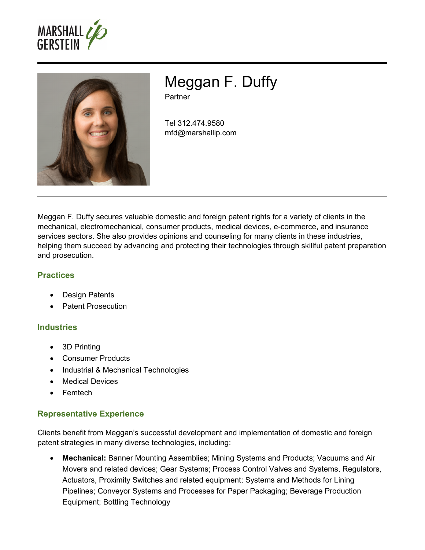



Meggan F. Duffy

**Partner** 

Tel 312.474.9580 mfd@marshallip.com

Meggan F. Duffy secures valuable domestic and foreign patent rights for a variety of clients in the mechanical, electromechanical, consumer products, medical devices, e-commerce, and insurance services sectors. She also provides opinions and counseling for many clients in these industries, helping them succeed by advancing and protecting their technologies through skillful patent preparation and prosecution.

## **Practices**

- Design Patents
- Patent Prosecution

## **Industries**

- 3D Printing
- Consumer Products
- Industrial & Mechanical Technologies
- Medical Devices
- Femtech

## **Representative Experience**

Clients benefit from Meggan's successful development and implementation of domestic and foreign patent strategies in many diverse technologies, including:

 **Mechanical:** Banner Mounting Assemblies; Mining Systems and Products; Vacuums and Air Movers and related devices; Gear Systems; Process Control Valves and Systems, Regulators, Actuators, Proximity Switches and related equipment; Systems and Methods for Lining Pipelines; Conveyor Systems and Processes for Paper Packaging; Beverage Production Equipment; Bottling Technology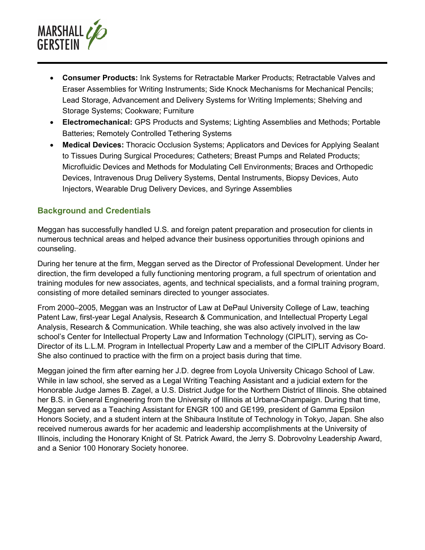

- **Consumer Products:** Ink Systems for Retractable Marker Products; Retractable Valves and Eraser Assemblies for Writing Instruments; Side Knock Mechanisms for Mechanical Pencils; Lead Storage, Advancement and Delivery Systems for Writing Implements; Shelving and Storage Systems; Cookware; Furniture
- **Electromechanical:** GPS Products and Systems; Lighting Assemblies and Methods; Portable Batteries; Remotely Controlled Tethering Systems
- **Medical Devices:** Thoracic Occlusion Systems; Applicators and Devices for Applying Sealant to Tissues During Surgical Procedures; Catheters; Breast Pumps and Related Products; Microfluidic Devices and Methods for Modulating Cell Environments; Braces and Orthopedic Devices, Intravenous Drug Delivery Systems, Dental Instruments, Biopsy Devices, Auto Injectors, Wearable Drug Delivery Devices, and Syringe Assemblies

## **Background and Credentials**

Meggan has successfully handled U.S. and foreign patent preparation and prosecution for clients in numerous technical areas and helped advance their business opportunities through opinions and counseling.

During her tenure at the firm, Meggan served as the Director of Professional Development. Under her direction, the firm developed a fully functioning mentoring program, a full spectrum of orientation and training modules for new associates, agents, and technical specialists, and a formal training program, consisting of more detailed seminars directed to younger associates.

From 2000–2005, Meggan was an Instructor of Law at DePaul University College of Law, teaching Patent Law, first-year Legal Analysis, Research & Communication, and Intellectual Property Legal Analysis, Research & Communication. While teaching, she was also actively involved in the law school's Center for Intellectual Property Law and Information Technology (CIPLIT), serving as Co-Director of its L.L.M. Program in Intellectual Property Law and a member of the CIPLIT Advisory Board. She also continued to practice with the firm on a project basis during that time.

Meggan joined the firm after earning her J.D. degree from Loyola University Chicago School of Law. While in law school, she served as a Legal Writing Teaching Assistant and a judicial extern for the Honorable Judge James B. Zagel, a U.S. District Judge for the Northern District of Illinois. She obtained her B.S. in General Engineering from the University of Illinois at Urbana-Champaign. During that time, Meggan served as a Teaching Assistant for ENGR 100 and GE199, president of Gamma Epsilon Honors Society, and a student intern at the Shibaura Institute of Technology in Tokyo, Japan. She also received numerous awards for her academic and leadership accomplishments at the University of Illinois, including the Honorary Knight of St. Patrick Award, the Jerry S. Dobrovolny Leadership Award, and a Senior 100 Honorary Society honoree.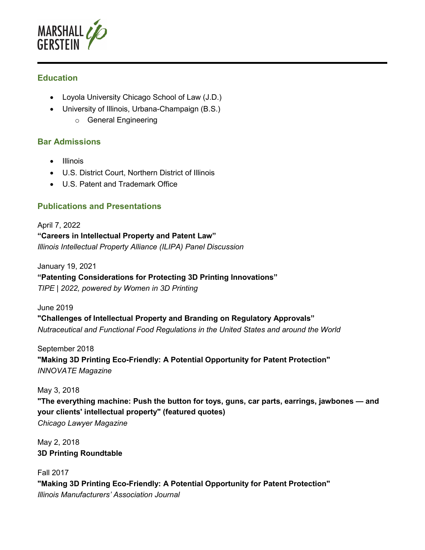

## **Education**

- Loyola University Chicago School of Law (J.D.)
- University of Illinois, Urbana-Champaign (B.S.)
	- o General Engineering

### **Bar Admissions**

- Illinois
- U.S. District Court, Northern District of Illinois
- U.S. Patent and Trademark Office

# **Publications and Presentations**

April 7, 2022 **"Careers in Intellectual Property and Patent Law"** *Illinois Intellectual Property Alliance (ILIPA) Panel Discussion*

January 19, 2021

#### **"Patenting Considerations for Protecting 3D Printing Innovations"**

*TIPE | 2022, powered by Women in 3D Printing*

June 2019

**"Challenges of Intellectual Property and Branding on Regulatory Approvals"**  *Nutraceutical and Functional Food Regulations in the United States and around the World* 

September 2018 **"Making 3D Printing Eco-Friendly: A Potential Opportunity for Patent Protection"**  *INNOVATE Magazine* 

May 3, 2018

**"The everything machine: Push the button for toys, guns, car parts, earrings, jawbones — and your clients' intellectual property" (featured quotes)**  *Chicago Lawyer Magazine* 

May 2, 2018 **3D Printing Roundtable** 

Fall 2017 **"Making 3D Printing Eco-Friendly: A Potential Opportunity for Patent Protection"**  *Illinois Manufacturers' Association Journal*